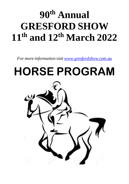# **90th Annual GRESFORD SHOW 11th and 12th March 2022**

*For more information visit www.gresfordshow.com.au*

# **HORSE PROGRAM**

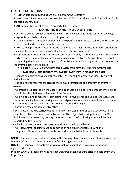#### **HORSE REGULATIONS**:

- Further detailed regulations are available from the Secretary.
- Participants Indemnity and Waiver Forms (ASC) to be signed and Competitor Cards collected at entry box.
- **ALL** competitors must provide a property PIC on entry forms**.**

## **NO PIC -NO RIDING – NO COMPETING**

- All horse events (except Campdraft and OTT) will be post entries (ie: enter on the day).
- Age of horses to be calculated from August 1st.
- Stallions and Colts may only compete where specifically permitted. Stallions and Colts must be ridden or handled by a person 17years and over.
- Horses in appropriate classes must be registered with their respective Breed Societies and copies of Registration must be available for presentation on request.

• Competitors in ring events are requested to be correctly attired and to have their horse ready to enter the marshalling area as and when directed by the Stewards. Any competitor disregarding the directions and requests of the Stewards will not be permitted to compete in the events about to take place.

#### **ALL PRIZE WINNING COMPETITORS AND EXHIBITORS IN RING EVENTS ON SATURDAY ARE INVITED TO PARTICIPATE IN THE GRAND PARADE**.

• Dispute committee consists of Ringmaster, Assistant Ringmaster and Main Steward of section involved.

• The committee reserves the right to make any alterations to the program of events if necessary.

• All entries are accepted on the understanding that the exhibitor and competitor will abide by the Rules, Regulations and By-laws of the Society.

• All exhibitors and competitors competing in horse ring events and Campdraft events and spectators wishing to enter the ring area must sign an insurance indemnity form and display an indemnity identification arm band prior to entering the ring area.

- Forms are available at ring entry office.
- Drug Testing may be carried out at this Show. Any owner and/or exhibitor whose horse presents positive to a prohibitive substance will be subject to investigation by the ASC Disciplinary Committee. Any penalty imposed as a result of an infringement will be fully supported by this Society
- All animals brought onto the showgrounds are to be in good health
- All stock/animal bedding must be removed by the exhibitor before leaving the showground. Either take with you or leave on dump pile behind the cattle stalls.

**LOCAL:** Embraces competitors residing in the Dungog Shire, Dunns Creek, Glendonbrook or a Member of the Paterson River or Hinton/ Wallalong Pony Clubs.

**NOVICE:** Open to all competitors who have not won a first prize in a solo event at an agricultural show.

**INTERMEDIATE:** Means one who has not won first, second or third prize in a solo event at a Royal Show.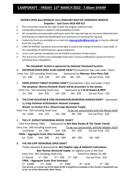#### **ENTRIES OPEN 8am MONDAY 21st FEBRUARY 2022 VIA NOMINATE WEBSITE Enquiries:- Josh Evans 0418 409 013**

- The Committee reserves the right to alter the program without notice.
- Campdraft schedule is subject to the availability of cattle.
- All competitors and spectators wishing to enter the ring must sign an insurance indemnity form and display an indemnity identification arm band prior to entering the ring area.
- Indemnity forms are available on our web site **www.gresfordshow.com.au** or may be collected from the ring office.
- LIMIT OF ENTRIES: Stewards reserve the right to restrict the number of entries in each draft, IF the availability of cattle becomes a governing factor.
- Junior and Juvenile competitors are permitted a maximum of two entries.
- The stock levy of \$20 is non-refundable if less than 72 hours notification is given of intent to withdraw from competition.

#### *The Campdraft Section is sponsored by National Stockyard Systems*

**1. PATERSON RIVER PONY CLUB JUNIOR DRAFT** (Competitors 8yrs and under 13yrs)

 Entry Fee - \$25 including Stock Levy Sponsored by *Paterson River Pony Club* 1st - \$40 2nd - \$35 3rd - \$30 4th - \$25 Cut out Prize - \$10

2. **CHRIS DOOLEY FAMILY JUVENILE DRAFT** (Competitors 13yrs and under 17yrs) **The perpetual Warren Richards Shield will be presented to the winner.**

 Entry Fee - \$25 including Stock Levy Sponsored by *C & M Dooley & PRPC* 1st - \$40 2nd - \$35 3rd - \$30 4th - \$25 Cut out Prize - \$10

*3.* **THE STAN KELEHEAR & TOM RICHARDSON MEMORIAL MAIDEN DRAFT** Sponsored by *Craig Kelehear & Richardson Pastoral Company*

**Winner to receive R.B.L. (Bruce) Capp Memorial Trophy**

Entry Fee - \$35 including Stock Levy To be run concurrently with the Novice draft 1st - \$100 2nd - \$70 3rd - \$50 4th - \$30 Cut out Prize - \$10

#### 4. **THE J.P. DOOLEY MEMORIAL NOVICE DRAFT**

 Total Prize Money \$465 Sponsored by *Mrs Nola Dooley & The Tarjan Family* Entry Fee - \$40 Including Stock Levy To be run concurrently with the Maiden Draft 1st Round: 1st - \$40 2nd - \$30 3rd - \$20 Cut out Prize - \$15  **FINAL – Aggregate Score (Run Saturday)** 1st - \$130 2nd - \$80 3rd - \$60 4th - \$50 5th - \$40

#### **5. THE JIM JUPP MEMORIAL OPEN DRAFT**

*Trophy donated & Sponsored by Mrs Daphne Jupp & Addweld Fabrications Ray Thomas Memorial trophy* for highest score in the final Entry Fee - \$55 including Stock Levy Total Prize Money \$2,160  $1^{st}$  Round:  $1^{st}$  - \$50  $2^{nd}$  - \$40  $3^{rd}$  - \$30  $3^{rd}$  Cut out Prize - \$25 **FINAL – Aggregate Score (Run Saturday)** 1st - \$1000 2nd - \$500 3rd - \$300 4th - \$130 5th - \$85 **The winner or runner up of the Open Draft is eligible to compete in the Hunter Campdraft Cup to be run at the Newcastle AH&I Show.**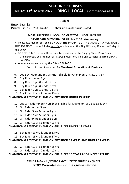#### **SECTION 1 : HORSES FRIDAY 11<sup>th</sup> March 2022 th March 2022 RING 1- LOCAL Commences at 8.00**

## **Judge:** am

**Entry Fee: \$2** 

**Prizes:** 1st - **\$7**, 2nd - **\$4**,3rd – **Ribbon** unless otherwise stated.

#### **MOST SUCCESSFUL LOCAL COMPETITOR UNDER 18 YEARS DAVID CAIN MEMORIAL SASH plus \$150 prize money**

• Points awarded for 1st, 2nd & 3rd OVER THE TWO DAYS OF THE SHOW ON A NOMINATED HORSE& RIDER- Horse & Rider *must be* nominated at the Ring Office by 12noon on Friday of the Show

- TO BE ELIGIBLE the Local Rider must be a resident of the Dungog Shire, Duns Creek, Glendonbrook or a member of Paterson River Pony Club and participate in the GRAND PARADE.
- Winner announced during the GRAND PARADE  *Local classes Sponsored by* **Merchant Excavation & Electrical**
- 6. Led Boy Rider under 7 yrs (not eligible for Champion or Class 7 & 8).
- 7. Boy Rider under 5 yrs
- 8. Boy Rider 5 yrs & under 7 yrs
- 9. Boy Rider 7 yrs & under 9 yrs
- 10. Boy Rider 9 yrs & under 11 yrs
- 11. Boy Rider 11 yrs & under 13 yrs

#### **CHAMPION & RESERVE CHAMPION BOY RIDER UNDER 13 YEARS**

- 12. Led Girl Rider under 7 yrs (not eligible for Champion or Class 13 & 14)
- 13. Girl Rider under 5 yrs
- 14. Girl Rider 5 yrs & under 7 yrs
- 15. Girl Rider 7 yrs & under 9 yrs
- 16. Girl Rider 9 yrs & under 11 yrs
- 17. Girl Rider 11 yrs & under 13 yrs

#### **CHAMPION & RESERVE CHAMPION GIRL RIDER UNDER 13 YEARS**

- 18. Boy Rider 13 yrs & under 15 yrs
- 19. Boy Rider 15 yrs & under 17 yrs

#### **CHAMPION & RESERVE CHAMPION BOY RIDER 13 YEARS AND UNDER 17 YEARS**

- 20. Girl Rider 13 yrs & under 15 yrs
- 21. Girl Rider 15 yrs & under 17 yrs

#### **CHAMPION & RESERVE CHAMPION GIRL RIDER 13 YEARS AND UNDER 17YEARS**

*James Hall Supreme Local Rider under 17 years – \$100 Presented during the Grand Parade*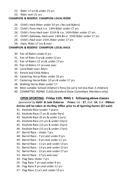- 22. Rider 17 yrs & under 21 yrs
- 23. Rider over 21 yrs

## **CHAMPION & RESERVE CHAMPION LOCAL RIDER**

- 24. Child's Hack Rider under 10 yrs ( No Led Riders)
- 25. Child's Pony Hack n.e. 13hh Rider under 17 yrs
- 26. Child's Pony Hack over 13 hh & n.e. 14hh Rider under 17 yrs
- 27. Child's Galloway Hack over 14hh &n.e. 15hh Rider under 17 yrs
- 28. Child's Hack over 15hh, Rider under 17 yrs
- 29. Hack, Rider 17 yrs & over

## **CHAMPION & RESERVE CHAMPION LOCAL HACK**

- 30. Pair of Riders under 9 yrs
- 31. Pair of Rider 9 yrs & under 12 yrs
- 32. Pair of Riders 12 yrs & under 17 yrs
- 33. Pair of Riders 17 yrs and over
- 34. Local Rider over 40yrs
- 35. Parent and Child Riders
- 36. Cantering Horse Rider under 10 yrs
- 37. Cantering Horse Rider 10 yrs & under 17 yrs
- 38. Walking Horse Rider under 17
- 39. Most suitable School Children's Pony (to carry not less than 3 children)
- 40. COMMITTEE RIDING CLASS.(Gresford Show Committee Members only)

## **OPEN SPORTING - Friday 11th, RING 1 following above classes**

 *Sponsored by Keith & Julie Osborne* **Prizes:** 1st - **\$7**, 2nd - **\$4**, 3rd - **Ribbon**. **Entries will be taken at the Ring Office prior to all Sporting Events (\$2 each)**

- 41. Keyhole Race (under 7 years)
- 42. Keyhole Race (7 yrs & under 9yrs)
- 43. Keyhole Race (9 yrs & under 11yrs)
- 44. Keyhole Race (11 yrs & under 13yrs)
- 45. Keyhole Race (13 yrs & under 15yrs)
- 46. Keyhole Race (15 yrs & under 17yrs)
- 47. Barrel Race Under 7 yrs
- 48. Barrel Race 7 yrs and under 9 yrs
- 49. Barrel Race 9 yrs and under 11 yrs
- 50. Barrel Race 11 yrs and under 13 yrs
- 51. Barrel Race 13 yrs and under 15 yrs
- 52. Barrel Race 15 yrs and under 17 yrs
- 53. Barrel Race 17 yrs and over
- 54. Flag Race Under 7 yrs
- 55. Flag Race 7 yrs and under 9 yrs
- 56. Flag Race 9 yrs and under 11 yrs
- 57. Flag Race 11 yrs and under 13 yrs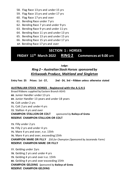- 58. Flag Race 13 yrs and under 15 yrs
- 59. Flag Race 15 yrs and under 17 yrs
- 60. Flag Race 17 yrs and over
- 61. Bending Race under 7 yrs
- 62. Bending Race 7 yrs and under 9 yrs
- 63. Bending Race 9 yrs and under 11 yrs
- 64. Bending Race 11 yrs and under 13 yrs
- 65. Bending Race 13 yrs and under 15 yrs
- 66. Bending Race 15 yrs and under 17 yrs
- **67**. Bending Race 17 yrs and over

## **THE FINALS OF THE NOVICE & OPEN CAMPDRAFT – Saturday 12thMarch. SECTION 1 : HORSES**

**SECTION 1 : HORSES FRIDAY 11 th March 2022 RING 2 Commences at 9.00** am

#### **Judge:**

## *Ring 2 – Australian Stock Horses sponsored by Kirkwoods Produce, Maitland and Singleton*

**Entry Fee: \$5 Prizes: 1st - \$7, 2nd - \$4, 3rd – Ribbon unless otherwise stated** 

#### **AUSTRALIAN STOCK HORSES - Registered with the A.S.H.S**

Broad Ribbons supplied by Eastern Branch ASHS **68.** Junior Handler under 13 yrs **69.** Junior Handler 13 years and under 18 years **70.** Colt under 2 yrs **71.** Colt 2 yrs and under 4 yrs **72.** Stallion 4 yrs and over **CHAMPION STALLION OR COLT** *sponsored by* **Baileys of Greta RESERVE CHAMPION STALLION OR COLT**

**73.** Filly under 2 yrs **74.** Filly 2 yrs and under 4 yrs **75.** Mare 4 yrs and over, n.e. 15hh **76.** Mare 4 yrs and over, exceeding 15hh **CHAMPION MARE OR FILLY** *\$50 for Champion (Sponsored by Jacaranda Farm)* **RESERVE CHAMPION MARE OR FILLY** 

**77.** Gelding under 2yrs **78.** Gelding 2 yrs and under 4 yrs **79.** Gelding 4 yrs and over n.e. 15hh **80.** Gelding 4 yrs and over exceeding 15hh **CHAMPION GELDING** *Sponsored by* **Baileys of Greta RESERVE CHAMPION GELDING**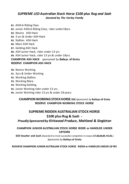## *SUPREME LED Australian Stock Horse \$100 plus Rug and Sash donated by The Varley Family*

- **81.** ASHLA Riding Class
- **82.** Junior ASHLA Riding Class, rider under18yrs.
- **83.** Novice ASH Hack
- **84.** 3 yrs & Under ASH Hack
- **85.** Stallion ASH Hack
- **86.** Mare ASH Hack
- **87.** Gelding ASH Hack
- **88.** ASH Junior Hack, rider under 13 yrs

**89.** ASH Junior Hack, rider 13 yrs & under 18yrs.

#### **CHAMPION ASH HACK** *sponsored by* **Baileys of Greta RESERVE CHAMPION ASH HACK**

- **90.** Novice Working.
- **91.** 3yrs & Under Working
- **92.** Working Stallion.
- **93.** Working Mare.
- **94.** Working Gelding.
- **95.** Junior Working rider under 13 yrs.
- **96.** Junior Working rider 13 yrs & under 18 years.

### **CHAMPION WORKING STOCK HORSE \$50** *Sponsored by* **Baileys of Greta RESERVE CHAMPION WORKING STOCK HORSE**

## **SUPREME RIDDEN AUSTRALIAN STOCK HORSE \$100 plus Rug & Sash -**

## *Proudly Sponsored by Kirkwood Produce, Maitland & Singleton*

#### **CHAMPION JUNIOR AUSTRALIAN STOCK HORSE RIDER or HANDLER UNDER 18YEARS**

**\$50 Voucher and Sash** (Awarded to most successful competitor in classes **67,68,88,89, 95,96.**) *Sponsored by* **Baileys of Greta**

**RESERVE CHAMPION JUNIOR AUTRALIAN STOCK HORSE RIDER or HANDLER UNDER 18 YRS**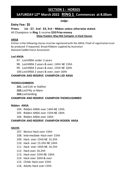## **SECTION 1 : HORSES**

## **SATURDAY 12 th March 2022 RING 1 Commences at 8.00am**

#### **Judge:**

## **Entry Fee: \$5**

**Prizes: 1st - \$7, 2nd - \$4, 3rd – Ribbon unless otherwise stated.** All Champions in **Ring 1** receive **\$50 Prize money Show Hunters May Not Compete in Hack Classes**

#### **ANSA**

Entries in the following classes must be registered with the ANSA. Proof of registration must be produced if requested. Broad Ribbons supplied by Australian National Saddle Horse Association

#### **Led ANSA**

97. Led ANSA under 2 years

98. Led ANSA 2 years & over, 14hh NE 15hh

99. Led ANSA 2 years & over, 15hh NE 16hh

100.Led ANSA 2 years & over, over 16hh

#### **CHAMPION AND RESERVE CHAMPION LED ANSA**

#### **THOROUGHBREDS**

**101.** Led Colt or Stallion **102.**Led Filly or Mare

**103.**Led Gelding

#### **CHAMPION AND RESERVE CHAMPION THOROUGHBRED**

#### **Ridden ANSA**

104. Ridden ANSA over 14hh NE 15hh

105. Ridden ANSA over 15hh NE 16hh

106. Ridden ANSA over 16hh

#### **CHAMPION AND RESERVE CHAMPION RIDDEN ANSA**

#### **HACKS**

- 107. Novice Hack over 15hh
- 108. Intermediate Hack over 15hh
- 109. Hack over 15hh NE 15.2hh
- 110. Hack over 15.2hh NE 16hh
- 111. Hack over 16hh NE 16.2hh
- 112. Hack over 16.2hh
- 113. Hack over 15hh NE 16hh
- 114. Hack over 16hh & over
- 115. Childs Hack over 15hh
- 116. Adults Hack over 15hh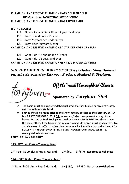#### **CHAMPION AND RESERVE CHAMPION HACK 15HH NE 16HH RUG** *donated by Newcastle Equine Centre* **CHAMPION AND RESERVE CHAMPION HACK OVER 16HH**

#### **RIDING CLASSES**

- **117.** Novice Lady or Gent Rider 17 years and over
- 118. Lady 17 and under 21 years
- 119. Lady 21 years and under 40yrs
- 120. Lady Rider 40 years & over

**CHAMPION AND RESERVE CHAMPION LADY RIDER OVER 17 YEARS**

- 121. Gent Rider 17 and under 21 years
- 122. Gent Rider 21 years and over

#### **CHAMPION AND RESERVE CHAMPION GENT RIDER OVER 17 YEARS**

*SUPREME RIDDEN HORSE OF SHOW (including Show Hunters)* **Rug and Sash** *Donated by Kirkwood Produce, Maitland & Singleton.* 

Off the Track Thoroughbred Classes

# **Sponsored by** *Torryburn Stud*

- ❖ **The horse must be a registered thoroughbred that has trialled or raced at a local, national or interstate level.**
- ❖ **Entries should be made prior to the Show date by posting to the Secretary at P O Box 9 EAST GRESFORD. 2311 OR the owners/rider must present a copy of the horses Australian Stud Book papers and race results BY MIDDAY on show day at the horse office. If the horse is not micro-chipped, its brands must be clearly visible and shown on its official registration document for identification at the show. FOR FULL ENTRY REQUIREMENTS PLEASE SEE THE GRESFORD SHOW WEBSITE. www.gresfordshow.com.au**

**Entry Fee : \$25 per entry**

#### **123. OTT Led Class – Thoroughbred**

**1 st Prize - \$100 plus a Rug & Garland, 2nd \$60, 3rd \$40 Rosettes to 6th place.** 

**124 – OTT Ridden Class- Thoroughbred** 

**1 st Prize -\$300 plus a Rug & Garland, 2nd \$150, 3rd \$50 Rosettes to 6th place**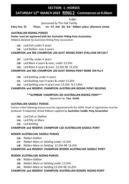## **SECTION 1 : HORSES**

## **SATURDAY 12th MARCH 2022 RING 2 Commences at 8.00am**

Judge:

 *Sponsored by* The Hall Family.

**Entry Fee: \$5 Prizes: 1st - \$7, 2nd - \$4, 3rd – Ribbon unless otherwise stated.**

#### **AUSTRALIAN RIDING PONIES**

**Ponies must be registered with the Australian Riding Pony Association** Ribbons Donated by Australian Riding Pony Association

- **125.** Led Colt under 4 years
- **126.** Led Stallion over 4 years

#### **CHAMPION and RES CHAMPION LED AUST RIDING PONY STALLION OR COLT**

- **127.** Led Filly under 4 years
- **128.** Led Mare 4 years & over, under 13.2hh
- **129.** Led Mare 4 years & over, 13.2hh NE 14.2hh

#### **CHAMPION and RES CHAMPION LED AUST RIDING PONY MARE OR FILLY**

- **130.** Led Gelding under 4 years
- **131.** Led Gelding over 4 years & under 13.2hh
- **132.** Led Gelding over 4 years over 13.2hh N E 14hh

#### **CHAMPION and RESERVE CHAMPION AUSTRALIAN RIDING PONY GELDING**

#### **\*\*SUPREME CHAMPION LED AUSTRALIAN RIDING PONY\*\***

*Sponsored by* **Tom Smith**

#### **AUSTRALIAN SADDLE PONIES**

Entries in the following classes must be registered with the ASPA. Proof of registration must be produced if requested. Broad Ribbons supplied by **Australian Saddle Pony Association**

- **133.** Led Colt or Stallion
- **134.** Led Filly or Mare
- **135.** Led Gelding

#### **CHAMPION and RESERVE CHAMPION LED AUSTRALIAN SADDLE PONY**

#### **RIDDEN AUSTRALIAN SADDLE PONIES**

- **136.** Ridden Stallion
- **137.** Ridden Mare or Gelding under 13.2hh
- **138.** Ridden Mare or Gelding 13.2hh NE 14.2hh

#### **CHAMPION and RESERVE CHAMPION RIDDEN AUSTRALIAN SADDLE PONY**

#### **RIDDEN AUSTRALIAN RIDING PONIES**

- **139.** Ridden Stallion
- **140.** Ridden Mare or Gelding under 13.2hh
- **141.** Ridden Mare or Gelding 13.2hh NE 14.2hh

#### **CHAMPION and RESERVE CHAMPION AUSTRALIAN RIDDEN RIDING PONY**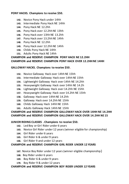#### **PONY HACKS. Champions to receive \$50.**

- **142.** Novice Pony Hack under 14hh
- **143.** Intermediate Pony Hack NE 14hh
- **144.** Pony Hack NE 12.2hh
- **145.** Pony Hack over 12.2hh NE 13hh
- **146.** Pony Hack over 13hh NE 13.2hh
- **147.** Pony Hack over 13.2hh NE 14hh
- **148.** Pony Hack NE 12.2hh
- **149.** Pony Hack over 12.2hh NE 14hh
- **150.** Childs Pony Hack NE 14hh
- **151.** Adults Pony Hack NE 14hh

## **CHAMPION and RESERVE CHAMPION PONY HACK NE 12.2HH**

#### **CHAMPION and RESERVE CHAMPION PONY HACK OVER 12.2HH NE 14HH**

#### **GALLOWAY HACKS. Champions to receive \$50.**

- **152.** Novice Galloway Hack over 14hh NE 15hh
- **153.** Intermediate Galloway Hack over 14hh NE 15hh
- **154.** Lightweight Galloway Hack over 14hh NE 14.2hh
- **155.** Heavyweight Galloway Hack over 14hh NE 14.2h
- **156.** Lightweight Galloway Hack over 14.2hh NE 15hh
- **157.** Heavyweight Galloway Hack over 14.2hh NE 15hh
- **158.** Galloway Hack over 14hh NE 14.2hh
- **159.** Galloway Hack over 14.2hh NE 15hh
- **160.** Childs Galloway Hack 14hh NE 15hh
- **161.** Adults Galloway Hack 14hh NE 15hh

#### **CHAMPION and RESERVE CHAMPION GALLOWAY HACK OVER 14HH NE 14.2HH CHAMPION and RESERVE CHAMPION GALLOWAY HACK OVER 14.2HH NE 15**

#### **JUNIOR RIDING CLASSES . Champions to receive \$50.**

- **162.** Led Boy or Girl Rider under 6 years
- **163.** Novice Girl Rider under 12 years (winner eligible for championship)
- **164.** Girl Rider under 6 years
- **165.** Girl Rider 6 & under 9 years
- **166.** Girl Rider 9 and under 12 years

#### **CHAMPION and RESERVE CHAMPION GIRL RIDER UNDER 12 YEARS**

- **167.** Novice Boy Rider under 12 years (winner eligible championship)
- **168.** Boy Rider under 6 years
- **169.** Boy Rider 6 & under 9 years
- **170.** Boy Rider 9 & under 12 years

#### **CHAMPION and RESERVE CHAMPION BOY RIDER UNDER 12 YEARS**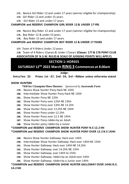- **171.** Novice Girl Rider 12 and under 17 years (winner eligible for championship)
- **172.** Girl Rider 12 and under 15 years
- **173.** Girl Rider 15 and under 17 years

#### **CHAMPION and RESERVE CHAMPION GIRL RIDER 12 & UNDER 17 YRS**

**174.** Novice Boy Rider 12 and under 17 years (winner eligible for championship)

- **175.** Boy Rider 12 & under 15 years
- **176.** Boy Rider 15 and under 17 years

#### **CHAMPION and RESERVE CHAMPION BOY RIDER 12 & UNDER 17 YEARS**

**177.** Team of 4 Riders Under 12 years

**178.** Team of 4 Riders 12years & Under 17years **(Classes 177 & 178 PONY CLUB ASSOCIATION OF N.S.W. RULES & SCALE OF JUDGING POINTS WILL APPLY).**

## **SECTION 1: HORSES**

**SATURDAY 12TH 2022 March RING 3 Commences at 8.00am**

#### **Judge:**

**Entry Fee: \$5 Prizes: 1st - \$7, 2nd - \$4, 3rd – Ribbon unless otherwise stated**

#### **SHOW HUNTERS**

#### **\*\$50 for Champion Show Hunters** *Sponsored by Jacaranda Farm*

- **179.** Novice Show Hunter Pony Hack NE 14hh
- **180.** Intermediate Show Hunter Pony Hack NE 14hh
- **181.** Show Hunter Pony NE 12hh
- **182.** Show Hunter Pony over 12hh NE 13hh
- **183.** Show Hunter Pony over 13hh NE 13.2hh
- **184.** Show Hunter Pony over 13.2hh NE 14hh
- **185.** Show Hunter Pony under 12.2hh
- **186.** Show Hunter Pony over 12.2 NE 14hh
- **187.** Show Hunter Pony ridden by an Adult
- **188.** Show Hunter pony ridden by a Junior

#### **\*CHAMPION and RESERVE CHAMPION SHOW HUNTER PONY N.E 12.2 HH**

#### **\*CHAMPION and RESERVE CHAMPION SHOW HUNTER PONY OVER 12.2 N.E 14HH**

- **189.** Novice Show Hunter Galloway Hack over 14hh
- **190.** Intermediate Show Hunter Galloway Hack over 14hh NE 15hh
- **191.** Show Hunter Galloway Hack over 14hh NE 14.2hh
- **192.** Show Hunter Galloway over 14.2hh NE 15hh
- **193.** Show Hunter Galloway over 14hh to 15hh
- **194.** Show Hunter Galloway ridden by an Adult over 14hh
- **195.** Show Hunter Galloway ridden by a Junior over 14hh

## **\*CHAMPION and RESERVE CHAMPION SHOW HUNTER GALLOWAY OVER 14HH.N.E.**

**14.2 HH**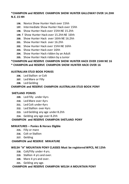#### **\*CHAMPION and RESERVE CHAMPION SHOW HUNTER GALLOWAY OVER 14.2HH N.E. 15 HH**

- **196.** Novice Show Hunter Hack over 15hh
- **197.** Intermediate Show Hunter Hack over 15hh
- **198.** Show Hunter Hack over 15hh NE 15.2hh
- **199.** f Show Hunter Hack over 15.2hh NE 16hh
- **200.** Show Hunter Hack over 16hh NE 16.2hh
- **201.** Show Hunter Hack over 16.2hh
- **202.** Show Hunter Hack over 15hh NE 16hh
- **203.** Show Hunter Hack over 16hh
- **204.** Show Hunter Hack ridden by an Adult
- **205.** Show Hunter Hack ridden by a Junior

# **\*CHAMPION and RESERVE CHAMPION SHOW HUNTER HACK OVER 15HH NE 16**

### **\* CHAMPION and RESERVE CHAMPION SHOW HUNTER HACK OVER 16**

#### **AUSTRALIAN STUD BOOK PONIES**

- **206.** Led Stallion or Colt
- **207.** Led Mare or Filly
- **208.** Led Gelding

#### **CHAMPION and RESERVE CHAMPION AUSTRALIAN STUD BOOK PONY**

#### **SHETLAND PONIES**

- **209.** Led Filly under 4yrs
- **210.** Led Mare over 4yrs
- **211.** Led Colt under 4yrs
- **212.** Led Stallion over 4yrs
- **213.** Led Gelding any age under 8.2hh
- **214.** Gelding any age over 8.2hh

#### **CHAMPION and RESERVE CHAMPION SHETLAND PONY**

#### **MINIATURES – Ponies & Horses Eligible**

- **215.** Filly or mare
- **216.** Colt or Stallion
- **217.** Gelding

#### **CHAMPION and RESERVE MINIATURE**

#### **WELSH "A" MOUNTAIN PONY CLASSES Must be registered WPCS, NE 12hh**

- **218.** Colt/Filly under 4 yrs.
- **219.** Stallion 4 yrs and over.
- **220.** Mare 4 yrs and over.
- **221.** Gelding any age.

#### **CHAMPION and RESERVE CHAMPION WELSH A MOUNTAIN PONY**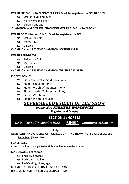#### **WELSH "B" MOUNTAIN PONY CLASSES Must be registered WPCS NE 13.2hh**

- **222.** Stallion 4 yrs and over
- **223.** Mare 4 yrs and over.
- **224.** Gelding any age

#### **CHAMPION and RESERVE CHAMPION WELSH B MOUNTAIN PONY**

#### **WELSH COBS (Section C & D) Must be registered WPCS**

- **225.** Stallion or Colt
- **226.** Mare/Filly
- **227.** Gelding

#### **CHAMPION and RESERVE CHAMPION SECTION C & D**

#### **WELSH PART-BREDS**

- **228.** Stallion or Colt
- **229.** Mare / Filly
- **230.** Gelding

#### **CHAMPION and RESERVE CHAMPION WELSH PART BRED**

#### **RIDDEN PONIES**

- **231.** Ridden Australian Stud Book Pony
- **232.** Ridden Shetland Pony
- **233.** Ridden Welsh 'A' Mountain Pony
- **234.** Ridden Welsh 'B' Mountain Pony
- **235.** Ridden Welsh Cob
- **236.** Ridden Welsh Part-Bred

## *SUPREME LED EXHIBIT OF THE SHOW*

#### *Sponsored by* **FARMERS WAREHOUSE**

**Singleton and Dungog**

## **SECTION 1 : HORSES**

**SATURDAY 12th MARCH 2022 RING 4 Commences 8.30 am**

 **Judge:**

**ALL BREEDS AND CROSSES OF PONIES, LIGHT AND HEAVY HORSE ARE ELLIGIBLE Entry Fee: \$5 per class**

#### **LED CLASSES**

**Prizes: 1st - \$10, 2nd - \$5, 3rd – Ribbon unless otherwise stated.** 

#### **CLYDESDALES registered**

- **237.** Led Filly or Mare
- **238.** Led Colt or Stallion
- **239.** Led Gelding of any age

#### **CHAMPION LED CLYDESDALE - \$50 AND SASH**

**RESERVE CHAMPION LED CLYDESDALE – SASH**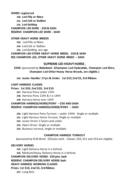**SHIRES registered 240. Led Filly or Mare 241. Led Colt or Stallion 242. Led Gelding CHAMPION LED SHIRE - \$50 & SASH RESERVE CHAMPION LED SHIRE - SASH**

#### **OTHER HEAVY HORSE BREEDS**

**243.** Led Filly or Mare **244.** Led Colt or Stallion **245.** Led Gelding, any age

**CHAMPION LED OTHER HEAVY HORSE BREED, -\$50 & SASH RES CHAMPION LED, OTHER HEAVY HORSE BREED – SASH**

#### **SUPREME LED HEAVY HORSE,**

**\$500.** *Sponsored by Rabobank.* **(Champion Led Clydesdale, Champion Led Shire, Champion Led Other Heavy Horse Breeds, are eligible.)**

**246. Junior Handler 17yrs & Under 1st \$10, 2nd \$5, 3rd Ribbon**

#### **LIGHT HARNESS CLASSES**

#### **Prizes: 1st \$30, 2nd \$20, 3rd \$10**

**247.** Harness Pony under 12hh

**248.** Harness Pony 12hh & n e 14hh

**249.** Harness Horse over 14hh

### **CHAMPION HARNESS/HORSE/PONY – \$50 AND SASH**

#### **RESERVE CHAMPION HARNESS/HORSE/PONY – SASH**

- **250.** Light Harness Pony Turnout under 14HH. Single or multiple
- **251.** Light Harness Horse Turnout. Single or multiple
- **252.** Junior Driver 17years and under
- **253.** Open Driver. Single or multiple
- **254.** Business turnout, single or multiple.

#### **CHAMPION HARNESS TURNOUT**

*Sponsored by R.M.Ward \$50 plus sash.-* Classes 250, 251 and 253 are eligible.

#### **DELIVERY HORSES**

**255.** Light Delivery Horse in a Vehicle

**256.** Medium/Heavy Delivery Horse in a Vehicle.

#### **CHAMPION DELIVERY HORSE- \$50 plus Sash**

**RESERVE CHAMPION DELIVERY HORSE-Sash**

#### **HEAVY HARNESS WORKING CLASSES**

**Prizes: 1st \$10, 2nd \$5, 3rd Ribbon**

**257.** Long Rein